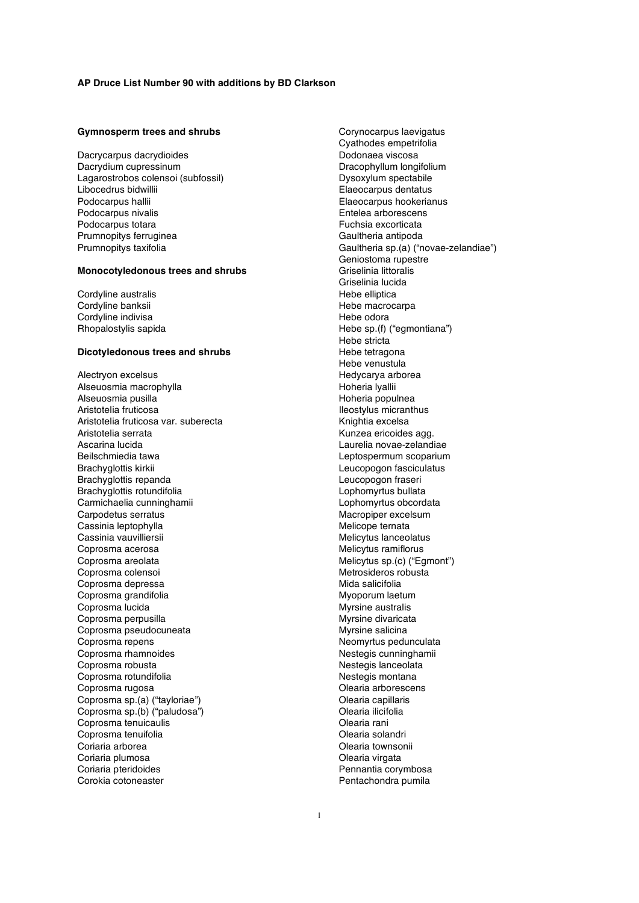#### **Gymnosperm trees and shrubs**

Dacrycarpus dacrydioides Dacrydium cupressinum Lagarostrobos colensoi (subfossil) Libocedrus bidwillii Podocarpus hallii Podocarpus nivalis Podocarpus totara Prumnopitys ferruginea Prumnopitys taxifolia

### **Monocotyledonous trees and shrubs**

Cordyline australis Cordyline banksii Cordyline indivisa Rhopalostylis sapida

## **Dicotyledonous trees and shrubs**

Alectryon excelsus Alseuosmia macrophylla Alseuosmia pusilla Aristotelia fruticosa Aristotelia fruticosa var. suberecta Aristotelia serrata Ascarina lucida Beilschmiedia tawa Brachyglottis kirkii Brachyglottis repanda Brachyglottis rotundifolia Carmichaelia cunninghamii Carpodetus serratus Cassinia leptophylla Cassinia vauvilliersii Coprosma acerosa Coprosma areolata Coprosma colensoi Coprosma depressa Coprosma grandifolia Coprosma lucida Coprosma perpusilla Coprosma pseudocuneata Coprosma repens Coprosma rhamnoides Coprosma robusta Coprosma rotundifolia Coprosma rugosa Coprosma sp.(a) ("tayloriae") Coprosma sp.(b) ("paludosa") Coprosma tenuicaulis Coprosma tenuifolia Coriaria arborea Coriaria plumosa Coriaria pteridoides Corokia cotoneaster

Corynocarpus laevigatus Cyathodes empetrifolia Dodonaea viscosa Dracophyllum longifolium Dysoxylum spectabile Elaeocarpus dentatus Elaeocarpus hookerianus Entelea arborescens Fuchsia excorticata Gaultheria antipoda Gaultheria sp.(a) ("novae-zelandiae") Geniostoma rupestre Griselinia littoralis Griselinia lucida Hebe elliptica Hebe macrocarpa Hebe odora Hebe sp.(f) ("egmontiana") Hebe stricta Hebe tetragona Hebe venustula Hedycarya arborea Hoheria lyallii Hoheria populnea Ileostylus micranthus Knightia excelsa Kunzea ericoides agg. Laurelia novae-zelandiae Leptospermum scoparium Leucopogon fasciculatus Leucopogon fraseri Lophomyrtus bullata Lophomyrtus obcordata Macropiper excelsum Melicope ternata Melicytus lanceolatus Melicytus ramiflorus Melicytus sp.(c) ("Egmont") Metrosideros robusta Mida salicifolia Myoporum laetum Myrsine australis Myrsine divaricata Myrsine salicina Neomyrtus pedunculata Nestegis cunninghamii Nestegis lanceolata Nestegis montana Olearia arborescens Olearia capillaris Olearia ilicifolia Olearia rani Olearia solandri Olearia townsonii Olearia virgata Pennantia corymbosa Pentachondra pumila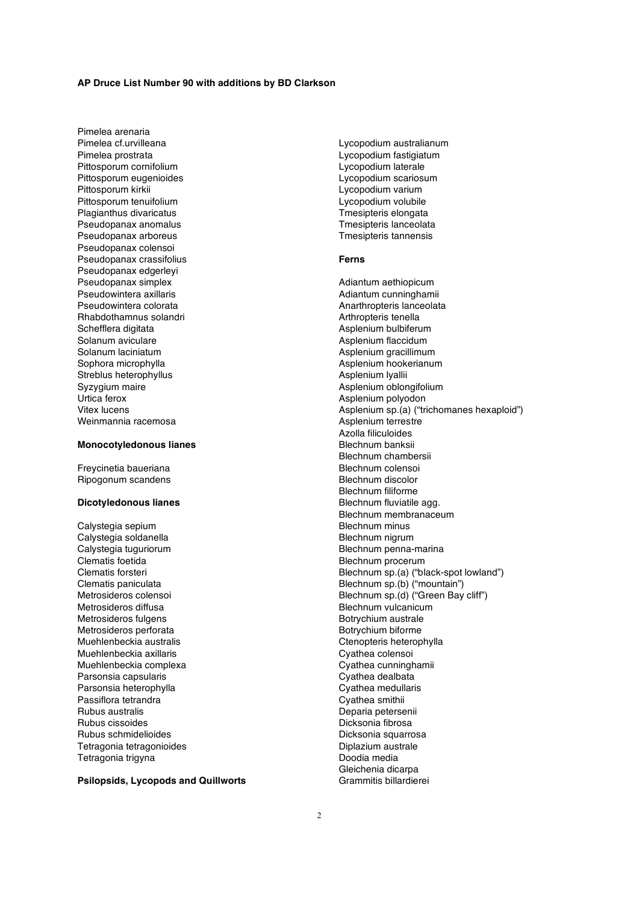Pimelea arenaria Pimelea cf.urvilleana Pimelea prostrata Pittosporum cornifolium Pittosporum eugenioides Pittosporum kirkii Pittosporum tenuifolium Plagianthus divaricatus Pseudopanax anomalus Pseudopanax arboreus Pseudopanax colensoi Pseudopanax crassifolius Pseudopanax edgerleyi Pseudopanax simplex Pseudowintera axillaris Pseudowintera colorata Rhabdothamnus solandri Schefflera digitata Solanum aviculare Solanum laciniatum Sophora microphylla Streblus heterophyllus Syzygium maire Urtica ferox Vitex lucens Weinmannia racemosa

## **Monocotyledonous lianes**

Freycinetia baueriana Ripogonum scandens

## **Dicotyledonous lianes**

Calystegia sepium Calystegia soldanella Calystegia tuguriorum Clematis foetida Clematis forsteri Clematis paniculata Metrosideros colensoi Metrosideros diffusa Metrosideros fulgens Metrosideros perforata Muehlenbeckia australis Muehlenbeckia axillaris Muehlenbeckia complexa Parsonsia capsularis Parsonsia heterophylla Passiflora tetrandra Rubus australis Rubus cissoides Rubus schmidelioides Tetragonia tetragonioides Tetragonia trigyna

**Psilopsids, Lycopods and Quillworts**

Lycopodium australianum Lycopodium fastigiatum Lycopodium laterale Lycopodium scariosum Lycopodium varium Lycopodium volubile Tmesipteris elongata Tmesipteris lanceolata Tmesipteris tannensis

### **Ferns**

Adiantum aethiopicum Adiantum cunninghamii Anarthropteris lanceolata Arthropteris tenella Asplenium bulbiferum Asplenium flaccidum Asplenium gracillimum Asplenium hookerianum Asplenium lyallii Asplenium oblongifolium Asplenium polyodon Asplenium sp.(a) ("trichomanes hexaploid") Asplenium terrestre Azolla filiculoides Blechnum banksii Blechnum chambersii Blechnum colensoi Blechnum discolor Blechnum filiforme Blechnum fluviatile agg. Blechnum membranaceum Blechnum minus Blechnum nigrum Blechnum penna-marina Blechnum procerum Blechnum sp.(a) ("black-spot lowland") Blechnum sp.(b) ("mountain") Blechnum sp.(d) ("Green Bay cliff") Blechnum vulcanicum Botrychium australe Botrychium biforme Ctenopteris heterophylla Cyathea colensoi Cyathea cunninghamii Cyathea dealbata Cyathea medullaris Cyathea smithii Deparia petersenii Dicksonia fibrosa Dicksonia squarrosa Diplazium australe Doodia media Gleichenia dicarpa Grammitis billardierei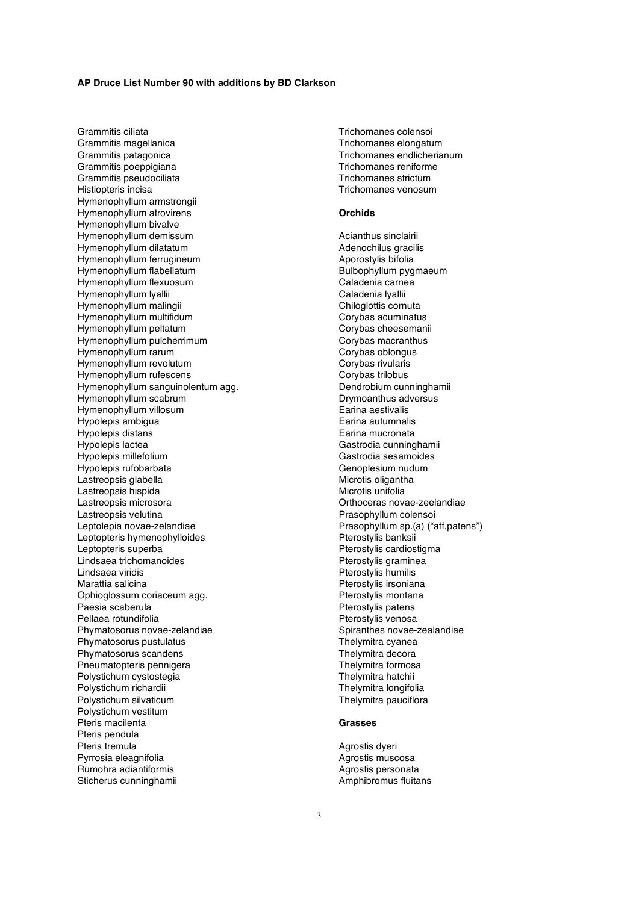Grammitis ciliata Grammitis magellanica Grammitis patagonica Grammitis poeppigiana Grammitis pseudociliata Histiopteris incisa Hymenophyllum armstrongii Hymenophyllum atrovirens Hymenophyllum bivalve Hymenophyllum demissum Hymenophyllum dilatatum Hymenophyllum ferrugineum Hymenophyllum flabellatum Hymenophyllum flexuosum Hymenophyllum lyallii Hymenophyllum malingii Hymenophyllum multifidum Hymenophyllum peltatum Hymenophyllum pulcherrimum Hymenophyllum rarum Hymenophyllum revolutum Hymenophyllum rufescens Hymenophyllum sanguinolentum agg. Hymenophyllum scabrum Hymenophyllum villosum Hypolepis ambigua Hypolepis distans Hypolepis lactea Hypolepis millefolium Hypolepis rufobarbata Lastreopsis glabella Lastreopsis hispida Lastreopsis microsora Lastreopsis velutina Leptolepia novae-zelandiae Leptopteris hymenophylloides Leptopteris superba Lindsaea trichomanoides Lindsaea viridis Marattia salicina Ophioglossum coriaceum agg. Paesia scaberula Pellaea rotundifolia Phymatosorus novae-zelandiae Phymatosorus pustulatus Phymatosorus scandens Pneumatopteris pennigera Polystichum cystostegia Polystichum richardii Polystichum silvaticum Polystichum vestitum Pteris macilenta Pteris pendula Pteris tremula Pyrrosia eleagnifolia Rumohra adiantiformis Sticherus cunninghamii

Trichomanes colensoi Trichomanes elongatum Trichomanes endlicherianum Trichomanes reniforme Trichomanes strictum Trichomanes venosum

#### **Orchids**

Acianthus sinclairii Adenochilus gracilis Aporostylis bifolia Bulbophyllum pygmaeum Caladenia carnea Caladenia lyallii Chiloglottis cornuta Corybas acuminatus Corybas cheesemanii Corybas macranthus Corybas oblongus Corybas rivularis Corybas trilobus Dendrobium cunninghamii Drymoanthus adversus Earina aestivalis Earina autumnalis Earina mucronata Gastrodia cunninghamii Gastrodia sesamoides Genoplesium nudum Microtis oligantha Microtis unifolia Orthoceras novae-zeelandiae Prasophyllum colensoi Prasophyllum sp.(a) ("aff.patens") Pterostylis banksii Pterostylis cardiostigma Pterostylis graminea Pterostylis humilis Pterostylis irsoniana Pterostylis montana Pterostylis patens Pterostylis venosa Spiranthes novae-zealandiae Thelymitra cyanea Thelymitra decora Thelymitra formosa Thelymitra hatchii Thelymitra longifolia Thelymitra pauciflora

## **Grasses**

Agrostis dyeri Agrostis muscosa Agrostis personata Amphibromus fluitans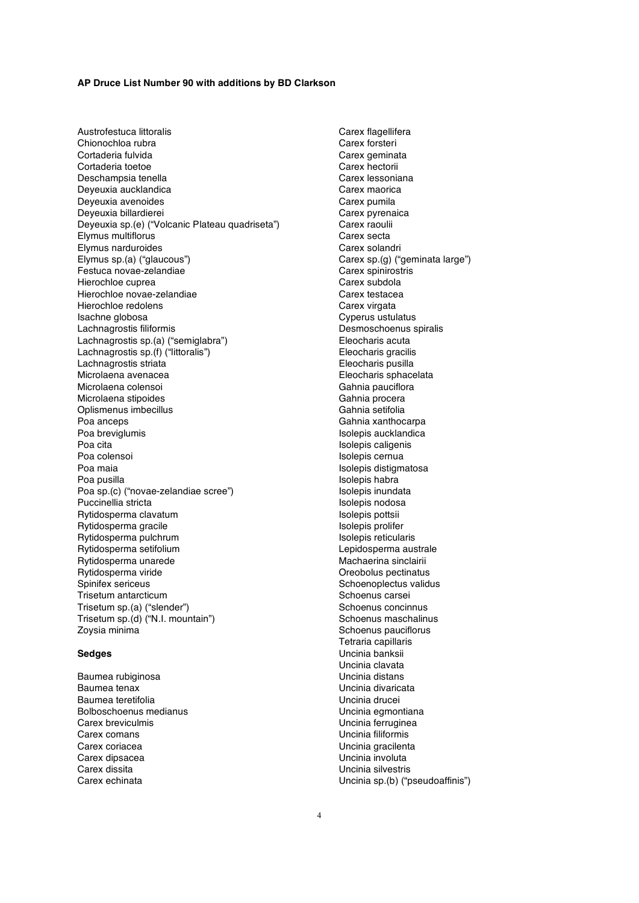Austrofestuca littoralis Chionochloa rubra Cortaderia fulvida Cortaderia toetoe Deschampsia tenella Deyeuxia aucklandica Deyeuxia avenoides Deyeuxia billardierei Deyeuxia sp.(e) ("Volcanic Plateau quadriseta") Elymus multiflorus Elymus narduroides Elymus sp.(a) ("glaucous") Festuca novae-zelandiae Hierochloe cuprea Hierochloe novae-zelandiae Hierochloe redolens Isachne globosa Lachnagrostis filiformis Lachnagrostis sp.(a) ("semiglabra") Lachnagrostis sp.(f) ("littoralis") Lachnagrostis striata Microlaena avenacea Microlaena colensoi Microlaena stipoides Oplismenus imbecillus Poa anceps Poa breviglumis Poa cita Poa colensoi Poa maia Poa pusilla Poa sp.(c) ("novae-zelandiae scree") Puccinellia stricta Rytidosperma clavatum Rytidosperma gracile Rytidosperma pulchrum Rytidosperma setifolium Rytidosperma unarede Rytidosperma viride Spinifex sericeus Trisetum antarcticum Trisetum sp.(a) ("slender") Trisetum sp.(d) ("N.I. mountain") Zoysia minima

## **Sedges**

Baumea rubiginosa Baumea tenax Baumea teretifolia Bolboschoenus medianus Carex breviculmis Carex comans Carex coriacea Carex dipsacea Carex dissita Carex echinata

Carex flagellifera Carex forsteri Carex geminata Carex hectorii Carex lessoniana Carex maorica Carex pumila Carex pyrenaica Carex raoulii Carex secta Carex solandri Carex sp.(g) ("geminata large") Carex spinirostris Carex subdola Carex testacea Carex virgata Cyperus ustulatus Desmoschoenus spiralis Eleocharis acuta Eleocharis gracilis Eleocharis pusilla Eleocharis sphacelata Gahnia pauciflora Gahnia procera Gahnia setifolia Gahnia xanthocarpa Isolepis aucklandica Isolepis caligenis Isolepis cernua Isolepis distigmatosa Isolepis habra Isolepis inundata Isolepis nodosa Isolepis pottsii Isolepis prolifer Isolepis reticularis Lepidosperma australe Machaerina sinclairii Oreobolus pectinatus Schoenoplectus validus Schoenus carsei Schoenus concinnus Schoenus maschalinus Schoenus pauciflorus Tetraria capillaris Uncinia banksii Uncinia clavata Uncinia distans Uncinia divaricata Uncinia drucei Uncinia egmontiana Uncinia ferruginea Uncinia filiformis Uncinia gracilenta Uncinia involuta Uncinia silvestris Uncinia sp.(b) ("pseudoaffinis")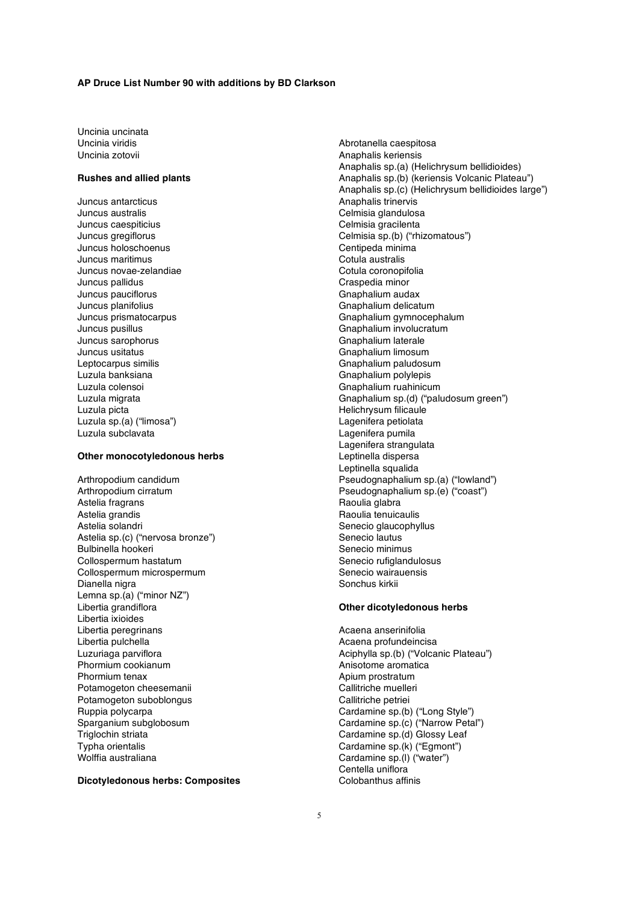Uncinia uncinata Uncinia viridis Uncinia zotovii

## **Rushes and allied plants**

Juncus antarcticus Juncus australis Juncus caespiticius Juncus gregiflorus Juncus holoschoenus Juncus maritimus Juncus novae-zelandiae Juncus pallidus Juncus pauciflorus Juncus planifolius Juncus prismatocarpus Juncus pusillus Juncus sarophorus Juncus usitatus Leptocarpus similis Luzula banksiana Luzula colensoi Luzula migrata Luzula picta Luzula sp.(a) ("limosa") Luzula subclavata

## **Other monocotyledonous herbs**

Arthropodium candidum Arthropodium cirratum Astelia fragrans Astelia grandis Astelia solandri Astelia sp.(c) ("nervosa bronze") Bulbinella hookeri Collospermum hastatum Collospermum microspermum Dianella nigra Lemna sp.(a) ("minor NZ") Libertia grandiflora Libertia ixioides Libertia peregrinans Libertia pulchella Luzuriaga parviflora Phormium cookianum Phormium tenax Potamogeton cheesemanii Potamogeton suboblongus Ruppia polycarpa Sparganium subglobosum Triglochin striata Typha orientalis Wolffia australiana

**Dicotyledonous herbs: Composites**

Abrotanella caespitosa Anaphalis keriensis Anaphalis sp.(a) (Helichrysum bellidioides) Anaphalis sp.(b) (keriensis Volcanic Plateau") Anaphalis sp.(c) (Helichrysum bellidioides large") Anaphalis trinervis Celmisia glandulosa Celmisia gracilenta Celmisia sp.(b) ("rhizomatous") Centipeda minima Cotula australis Cotula coronopifolia Craspedia minor Gnaphalium audax Gnaphalium delicatum Gnaphalium gymnocephalum Gnaphalium involucratum Gnaphalium laterale Gnaphalium limosum Gnaphalium paludosum Gnaphalium polylepis Gnaphalium ruahinicum Gnaphalium sp.(d) ("paludosum green") Helichrysum filicaule Lagenifera petiolata Lagenifera pumila Lagenifera strangulata Leptinella dispersa Leptinella squalida Pseudognaphalium sp.(a) ("lowland") Pseudognaphalium sp.(e) ("coast") Raoulia glabra Raoulia tenuicaulis Senecio glaucophyllus Senecio lautus Senecio minimus Senecio rufiglandulosus Senecio wairauensis Sonchus kirkii

### **Other dicotyledonous herbs**

Acaena anserinifolia Acaena profundeincisa Aciphylla sp.(b) ("Volcanic Plateau") Anisotome aromatica Apium prostratum Callitriche muelleri Callitriche petriei Cardamine sp.(b) ("Long Style") Cardamine sp.(c) ("Narrow Petal") Cardamine sp.(d) Glossy Leaf Cardamine sp.(k) ("Egmont") Cardamine sp.(l) ("water") Centella uniflora Colobanthus affinis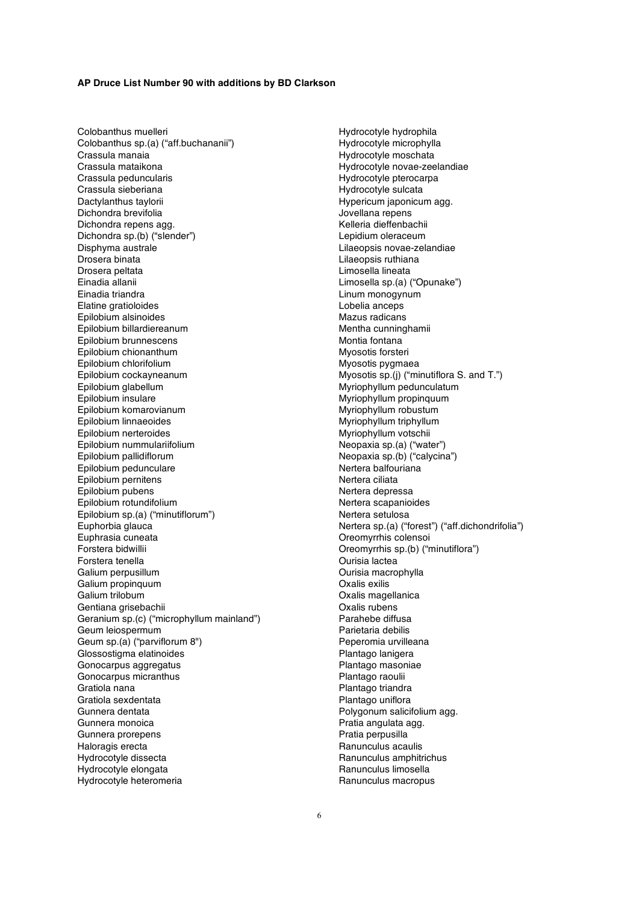Colobanthus muelleri Colobanthus sp.(a) ("aff.buchananii") Crassula manaia Crassula mataikona Crassula peduncularis Crassula sieberiana Dactylanthus taylorii Dichondra brevifolia Dichondra repens agg. Dichondra sp.(b) ("slender") Disphyma australe Drosera binata Drosera peltata Einadia allanii Einadia triandra Elatine gratioloides Epilobium alsinoides Epilobium billardiereanum Epilobium brunnescens Epilobium chionanthum Epilobium chlorifolium Epilobium cockayneanum Epilobium glabellum Epilobium insulare Epilobium komarovianum Epilobium linnaeoides Epilobium nerteroides Epilobium nummulariifolium Epilobium pallidiflorum Epilobium pedunculare Epilobium pernitens Epilobium pubens Epilobium rotundifolium Epilobium sp.(a) ("minutiflorum") Euphorbia glauca Euphrasia cuneata Forstera bidwillii Forstera tenella Galium perpusillum Galium propinquum Galium trilobum Gentiana grisebachii Geranium sp.(c) ("microphyllum mainland") Geum leiospermum Geum sp.(a) ("parviflorum 8") Glossostigma elatinoides Gonocarpus aggregatus Gonocarpus micranthus Gratiola nana Gratiola sexdentata Gunnera dentata Gunnera monoica Gunnera prorepens Haloragis erecta Hydrocotyle dissecta Hydrocotyle elongata Hydrocotyle heteromeria

Hydrocotyle hydrophila Hydrocotyle microphylla Hydrocotyle moschata Hydrocotyle novae-zeelandiae Hydrocotyle pterocarpa Hydrocotyle sulcata Hypericum japonicum agg. Jovellana repens Kelleria dieffenbachii Lepidium oleraceum Lilaeopsis novae-zelandiae Lilaeopsis ruthiana Limosella lineata Limosella sp.(a) ("Opunake") Linum monogynum Lobelia anceps Mazus radicans Mentha cunninghamii Montia fontana Myosotis forsteri Myosotis pygmaea Myosotis sp.(j) ("minutiflora S. and T.") Myriophyllum pedunculatum Myriophyllum propinquum Myriophyllum robustum Myriophyllum triphyllum Myriophyllum votschii Neopaxia sp.(a) ("water") Neopaxia sp.(b) ("calycina") Nertera balfouriana Nertera ciliata Nertera depressa Nertera scapanioides Nertera setulosa Nertera sp.(a) ("forest") ("aff.dichondrifolia") Oreomyrrhis colensoi Oreomyrrhis sp.(b) ("minutiflora") Ourisia lactea Ourisia macrophylla Oxalis exilis Oxalis magellanica Oxalis rubens Parahebe diffusa Parietaria debilis Peperomia urvilleana Plantago lanigera Plantago masoniae Plantago raoulii Plantago triandra Plantago uniflora Polygonum salicifolium agg. Pratia angulata agg. Pratia perpusilla Ranunculus acaulis Ranunculus amphitrichus Ranunculus limosella Ranunculus macropus